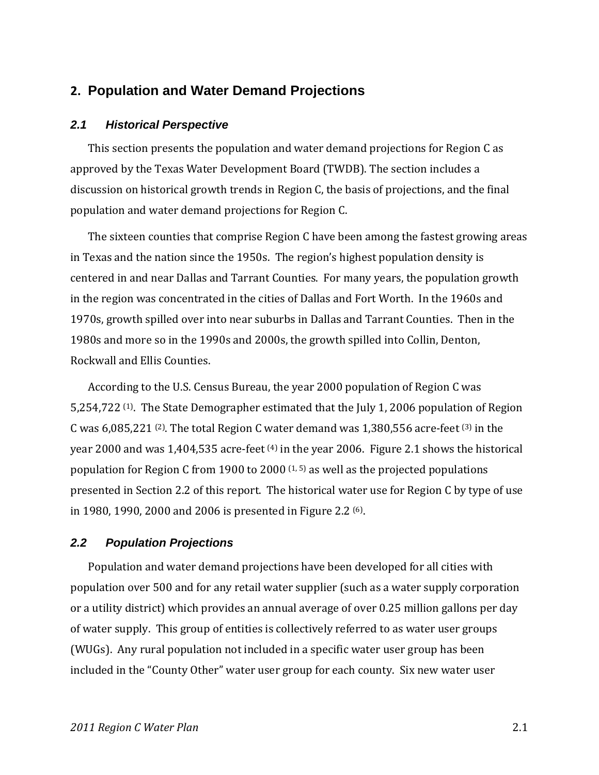# **2. Population and Water Demand Projections**

#### *2.1 Historical Perspective*

This section presents the population and water demand projections for Region C as approved by the Texas Water Development Board (TWDB). The section includes a discussion on historical growth trends in Region C, the basis of projections, and the final population and water demand projections for Region C.

The sixteen counties that comprise Region C have been among the fastest growing areas in Texas and the nation since the 1950s. The region's highest population density is centered in and near Dallas and Tarrant Counties. For many years, the population growth in the region was concentrated in the cities of Dallas and Fort Worth. In the 1960s and 1970s, growth spilled over into near suburbs in Dallas and Tarrant Counties. Then in the 1980s and more so in the 1990s and 2000s, the growth spilled into Collin, Denton, Rockwall and Ellis Counties.

According to the U.S. Census Bureau, the year 2000 population of Region C was 5,254,722  $(1)$ . The State Demographer estimated that the July 1, 2006 population of Region C was  $6,085,221$  <sup>(2)</sup>. The total Region C water demand was 1,380,556 acre-feet <sup>(3)</sup> in the year 2000 and was 1,404,535 acre-feet <sup>(4)</sup> in the year 2006. Figure 2.1 shows the historical population for Region C from 1900 to 2000  $(1, 5)$  as well as the projected populations presented in Section 2.2 of this report. The historical water use for Region C by type of use in 1980, 1990, 2000 and 2006 is presented in Figure 2.2 (6).

#### *2.2 Population Projections*

Population and water demand projections have been developed for all cities with population over 500 and for any retail water supplier (such as a water supply corporation or a utility district) which provides an annual average of over 0.25 million gallons per day of water supply. This group of entities is collectively referred to as water user groups (WUGs). Any rural population not included in a specific water user group has been included in the "County Other" water user group for each county. Six new water user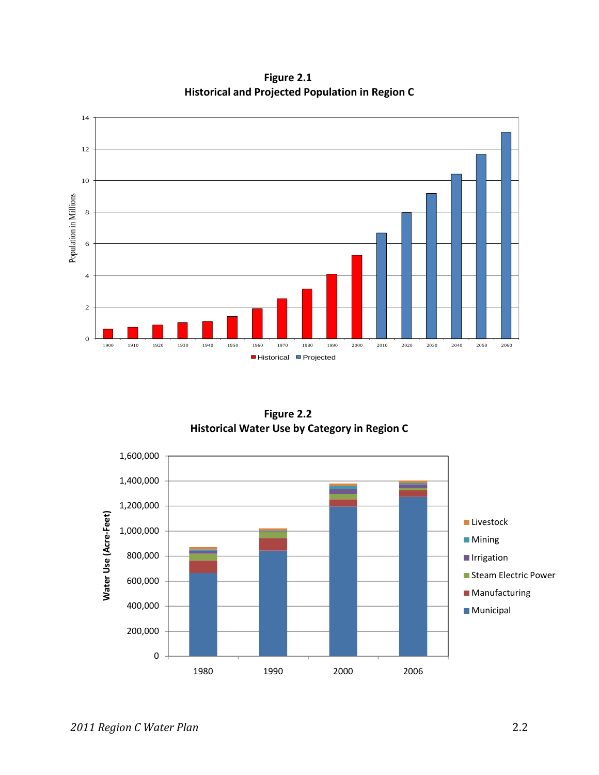

**Figure 2.1 Historical and Projected Population in Region C**

**Figure 2.2 Historical Water Use by Category in Region C**

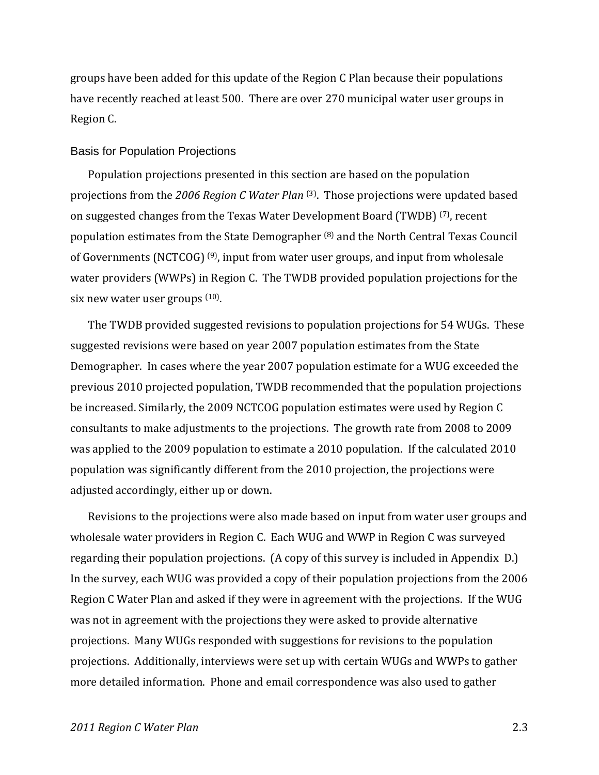groups have been added for this update of the Region C Plan because their populations have recently reached at least 500. There are over 270 municipal water user groups in Region C.

#### Basis for Population Projections

Population projections presented in this section are based on the population projections from the *2006 Region C Water Plan* (3). Those projections were updated based on suggested changes from the Texas Water Development Board (TWDB) (7), recent population estimates from the State Demographer (8) and the North Central Texas Council of Governments (NCTCOG) (9), input from water user groups, and input from wholesale water providers (WWPs) in Region C. The TWDB provided population projections for the six new water user groups <sup>(10)</sup>.

The TWDB provided suggested revisions to population projections for 54 WUGs. These suggested revisions were based on year 2007 population estimates from the State Demographer. In cases where the year 2007 population estimate for a WUG exceeded the previous 2010 projected population, TWDB recommended that the population projections be increased. Similarly, the 2009 NCTCOG population estimates were used by Region C consultants to make adjustments to the projections. The growth rate from 2008 to 2009 was applied to the 2009 population to estimate a 2010 population. If the calculated 2010 population was significantly different from the 2010 projection, the projections were adjusted accordingly, either up or down.

Revisions to the projections were also made based on input from water user groups and wholesale water providers in Region C. Each WUG and WWP in Region C was surveyed regarding their population projections. (A copy of this survey is included in Appendix D.) In the survey, each WUG was provided a copy of their population projections from the 2006 Region C Water Plan and asked if they were in agreement with the projections. If the WUG was not in agreement with the projections they were asked to provide alternative projections. Many WUGs responded with suggestions for revisions to the population projections. Additionally, interviews were set up with certain WUGs and WWPs to gather more detailed information. Phone and email correspondence was also used to gather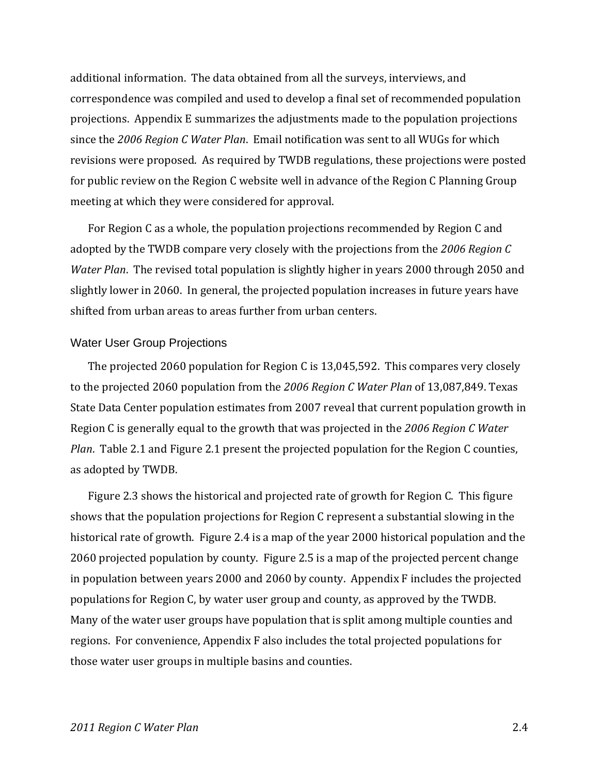additional information. The data obtained from all the surveys, interviews, and correspondence was compiled and used to develop a final set of recommended population projections. Appendix E summarizes the adjustments made to the population projections since the *2006 Region C Water Plan*. Email notification was sent to all WUGs for which revisions were proposed. As required by TWDB regulations, these projections were posted for public review on the Region C website well in advance of the Region C Planning Group meeting at which they were considered for approval.

For Region C as a whole, the population projections recommended by Region C and adopted by the TWDB compare very closely with the projections from the *2006 Region C Water Plan*. The revised total population is slightly higher in years 2000 through 2050 and slightly lower in 2060. In general, the projected population increases in future years have shifted from urban areas to areas further from urban centers.

#### Water User Group Projections

The projected 2060 population for Region C is 13,045,592. This compares very closely to the projected 2060 population from the *2006 Region C Water Plan* of 13,087,849. Texas State Data Center population estimates from 2007 reveal that current population growth in Region C is generally equal to the growth that was projected in the *2006 Region C Water Plan*. Table 2.1 and Figure 2.1 present the projected population for the Region C counties, as adopted by TWDB.

Figure 2.3 shows the historical and projected rate of growth for Region C. This figure shows that the population projections for Region C represent a substantial slowing in the historical rate of growth. Figure 2.4 is a map of the year 2000 historical population and the 2060 projected population by county. Figure 2.5 is a map of the projected percent change in population between years 2000 and 2060 by county. Appendix F includes the projected populations for Region C, by water user group and county, as approved by the TWDB. Many of the water user groups have population that is split among multiple counties and regions. For convenience, Appendix F also includes the total projected populations for those water user groups in multiple basins and counties.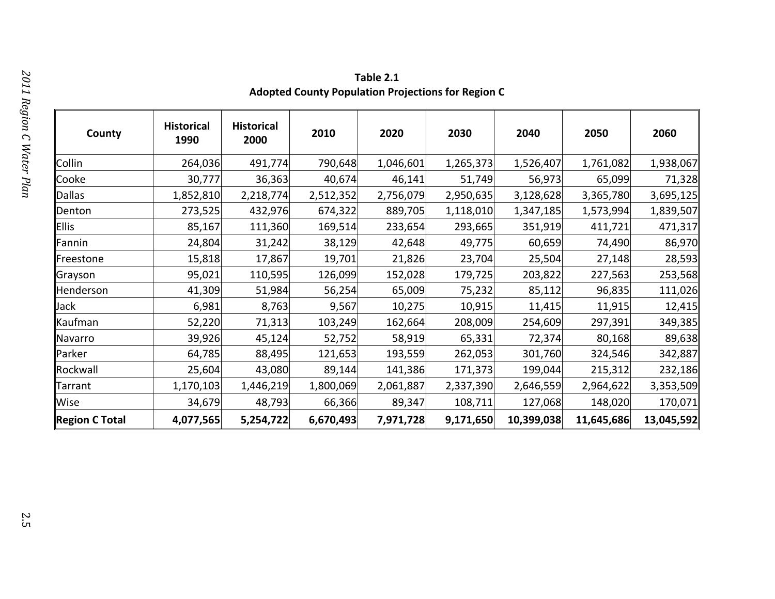**Table 2.1 Adopted County Population Projections for Region C**

| County                | <b>Historical</b><br>1990 | <b>Historical</b><br>2000 | 2010      | 2020      | 2030      | 2040       | 2050       | 2060       |
|-----------------------|---------------------------|---------------------------|-----------|-----------|-----------|------------|------------|------------|
| Collin                | 264,036                   | 491,774                   | 790,648   | 1,046,601 | 1,265,373 | 1,526,407  | 1,761,082  | 1,938,067  |
| Cooke                 | 30,777                    | 36,363                    | 40,674    | 46,141    | 51,749    | 56,973     | 65,099     | 71,328     |
| Dallas                | 1,852,810                 | 2,218,774                 | 2,512,352 | 2,756,079 | 2,950,635 | 3,128,628  | 3,365,780  | 3,695,125  |
| Denton                | 273,525                   | 432,976                   | 674,322   | 889,705   | 1,118,010 | 1,347,185  | 1,573,994  | 1,839,507  |
| Ellis                 | 85,167                    | 111,360                   | 169,514   | 233,654   | 293,665   | 351,919    | 411,721    | 471,317    |
| Fannin                | 24,804                    | 31,242                    | 38,129    | 42,648    | 49,775    | 60,659     | 74,490     | 86,970     |
| Freestone             | 15,818                    | 17,867                    | 19,701    | 21,826    | 23,704    | 25,504     | 27,148     | 28,593     |
| Grayson               | 95,021                    | 110,595                   | 126,099   | 152,028   | 179,725   | 203,822    | 227,563    | 253,568    |
| Henderson             | 41,309                    | 51,984                    | 56,254    | 65,009    | 75,232    | 85,112     | 96,835     | 111,026    |
| Jack                  | 6,981                     | 8,763                     | 9,567     | 10,275    | 10,915    | 11,415     | 11,915     | 12,415     |
| Kaufman               | 52,220                    | 71,313                    | 103,249   | 162,664   | 208,009   | 254,609    | 297,391    | 349,385    |
| Navarro               | 39,926                    | 45,124                    | 52,752    | 58,919    | 65,331    | 72,374     | 80,168     | 89,638     |
| Parker                | 64,785                    | 88,495                    | 121,653   | 193,559   | 262,053   | 301,760    | 324,546    | 342,887    |
| Rockwall              | 25,604                    | 43,080                    | 89,144    | 141,386   | 171,373   | 199,044    | 215,312    | 232,186    |
| Tarrant               | 1,170,103                 | 1,446,219                 | 1,800,069 | 2,061,887 | 2,337,390 | 2,646,559  | 2,964,622  | 3,353,509  |
| Wise                  | 34,679                    | 48,793                    | 66,366    | 89,347    | 108,711   | 127,068    | 148,020    | 170,071    |
| <b>Region C Total</b> | 4,077,565                 | 5,254,722                 | 6,670,493 | 7,971,728 | 9,171,650 | 10,399,038 | 11,645,686 | 13,045,592 |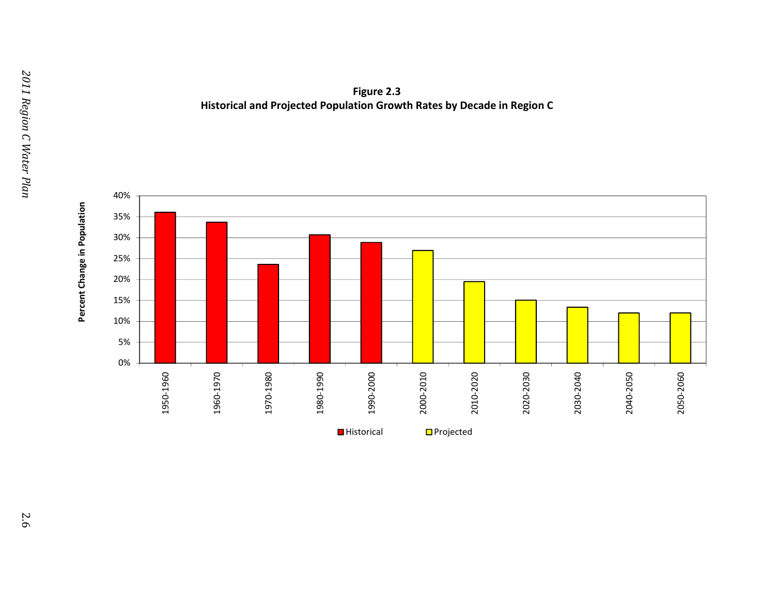

**Figure 2.3 Historical and Projected Population Growth Rates by Decade in Region C**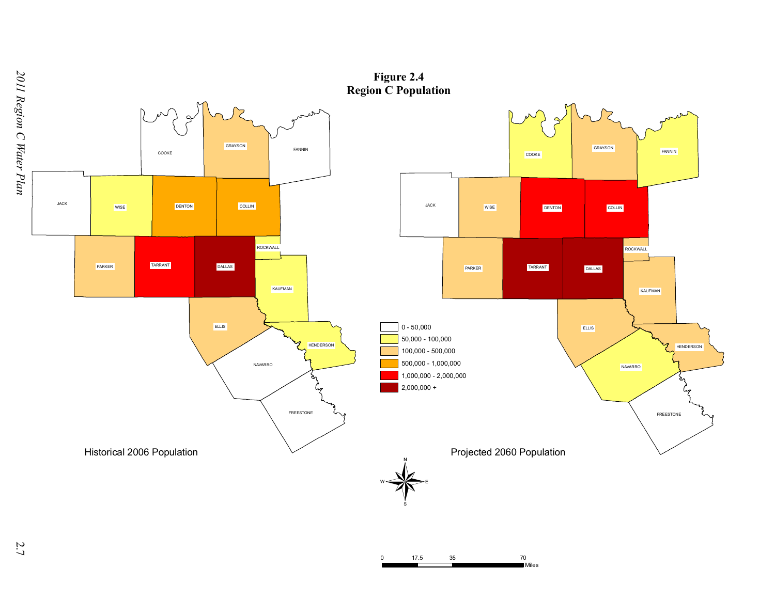

0 17.5 35 70

**Miles** 

*R egio n C*

2.7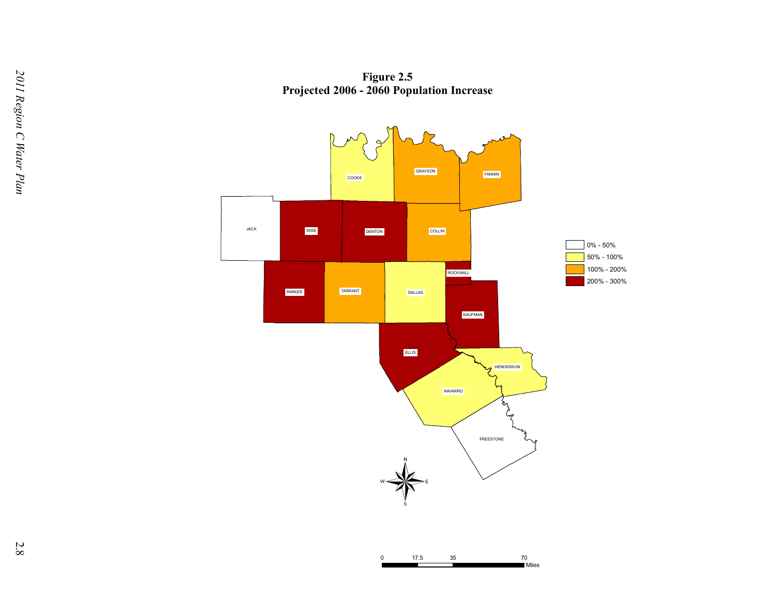**Figure 2.5 Projected 2006 - 2060 Population Increase**

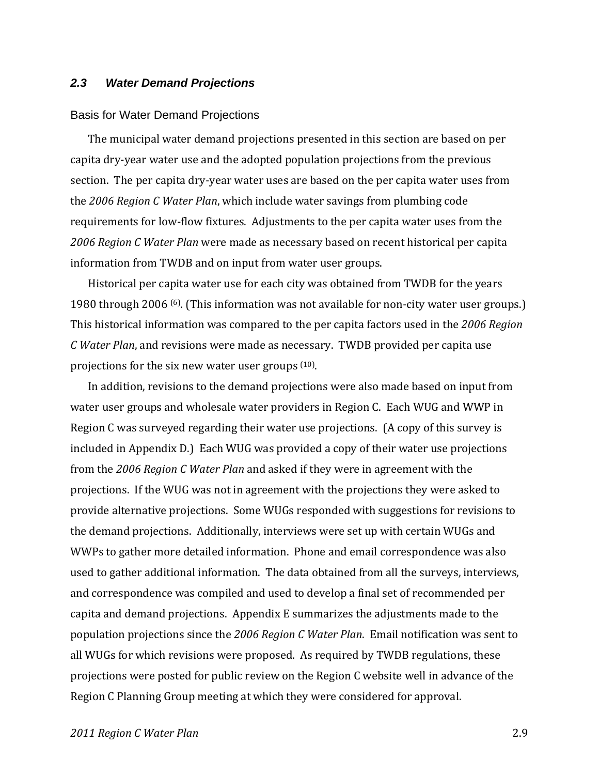### *2.3 Water Demand Projections*

#### Basis for Water Demand Projections

The municipal water demand projections presented in this section are based on per capita dry‐year water use and the adopted population projections from the previous section. The per capita dry‐year water uses are based on the per capita water uses from the *2006 Region C Water Plan*, which include water savings from plumbing code requirements for low‐flow fixtures. Adjustments to the per capita water uses from the *2006 Region C Water Plan* were made as necessary based on recent historical per capita information from TWDB and on input from water user groups.

Historical per capita water use for each city was obtained from TWDB for the years 1980 through 2006 (6). (This information was not available for non‐city water user groups.) This historical information was compared to the per capita factors used in the *2006 Region C Water Plan*, and revisions were made as necessary. TWDB provided per capita use projections for the six new water user groups (10).

In addition, revisions to the demand projections were also made based on input from water user groups and wholesale water providers in Region C. Each WUG and WWP in Region C was surveyed regarding their water use projections. (A copy of this survey is included in Appendix D.) Each WUG was provided a copy of their water use projections from the *2006 Region C Water Plan* and asked if they were in agreement with the projections. If the WUG was not in agreement with the projections they were asked to provide alternative projections. Some WUGs responded with suggestions for revisions to the demand projections. Additionally, interviews were set up with certain WUGs and WWPs to gather more detailed information. Phone and email correspondence was also used to gather additional information. The data obtained from all the surveys, interviews, and correspondence was compiled and used to develop a final set of recommended per capita and demand projections. Appendix E summarizes the adjustments made to the population projections since the *2006 Region C Water Plan*. Email notification was sent to all WUGs for which revisions were proposed. As required by TWDB regulations, these projections were posted for public review on the Region C website well in advance of the Region C Planning Group meeting at which they were considered for approval.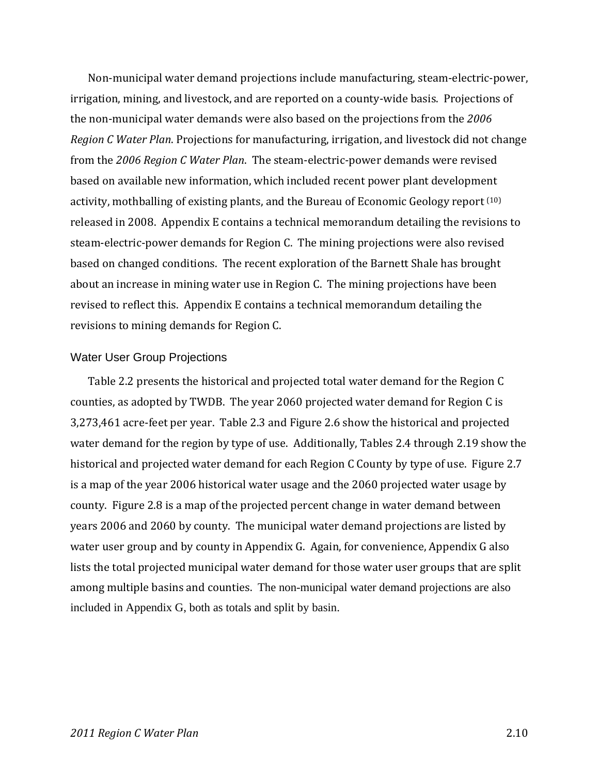Non‐municipal water demand projections include manufacturing, steam‐electric‐power, irrigation, mining, and livestock, and are reported on a county‐wide basis. Projections of the non‐municipal water demands were also based on the projections from the *2006 Region C Water Plan*. Projections for manufacturing, irrigation, and livestock did not change from the *2006 Region C Water Plan*. The steam‐electric‐power demands were revised based on available new information, which included recent power plant development activity, mothballing of existing plants, and the Bureau of Economic Geology report (10) released in 2008. Appendix E contains a technical memorandum detailing the revisions to steam‐electric‐power demands for Region C. The mining projections were also revised based on changed conditions. The recent exploration of the Barnett Shale has brought about an increase in mining water use in Region C. The mining projections have been revised to reflect this. Appendix E contains a technical memorandum detailing the revisions to mining demands for Region C.

### Water User Group Projections

Table 2.2 presents the historical and projected total water demand for the Region C counties, as adopted by TWDB. The year 2060 projected water demand for Region C is 3,273,461 acre‐feet per year. Table 2.3 and Figure 2.6 show the historical and projected water demand for the region by type of use. Additionally, Tables 2.4 through 2.19 show the historical and projected water demand for each Region C County by type of use. Figure 2.7 is a map of the year 2006 historical water usage and the 2060 projected water usage by county. Figure 2.8 is a map of the projected percent change in water demand between years 2006 and 2060 by county. The municipal water demand projections are listed by water user group and by county in Appendix G. Again, for convenience, Appendix G also lists the total projected municipal water demand for those water user groups that are split among multiple basins and counties. The non-municipal water demand projections are also included in Appendix G, both as totals and split by basin.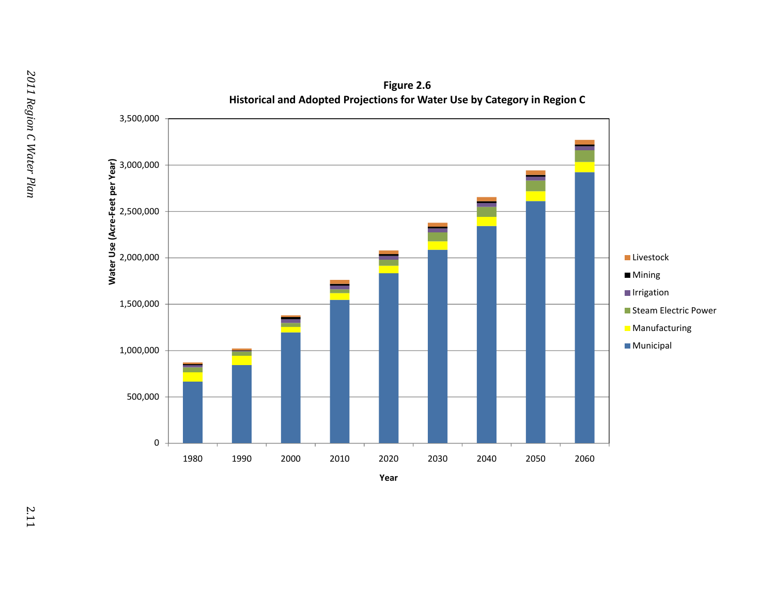

**Figure 2.6**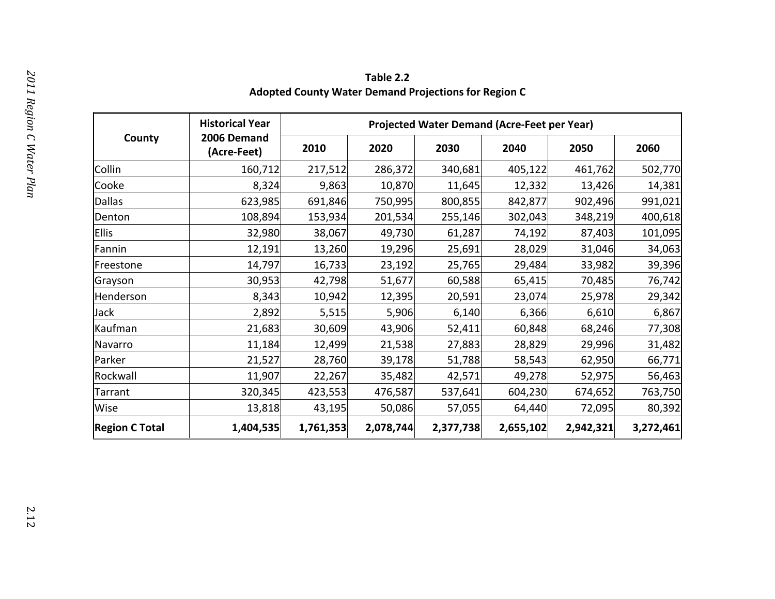**Table 2.2 Adopted County Water Demand Projections for Region C**

|                       | <b>Historical Year</b>     |           | <b>Projected Water Demand (Acre-Feet per Year)</b> |           |           |           |           |
|-----------------------|----------------------------|-----------|----------------------------------------------------|-----------|-----------|-----------|-----------|
| County                | 2006 Demand<br>(Acre-Feet) | 2010      | 2020                                               | 2030      | 2040      | 2050      | 2060      |
| Collin                | 160,712                    | 217,512   | 286,372                                            | 340,681   | 405,122   | 461,762   | 502,770   |
| Cooke                 | 8,324                      | 9,863     | 10,870                                             | 11,645    | 12,332    | 13,426    | 14,381    |
| Dallas                | 623,985                    | 691,846   | 750,995                                            | 800,855   | 842,877   | 902,496   | 991,021   |
| Denton                | 108,894                    | 153,934   | 201,534                                            | 255,146   | 302,043   | 348,219   | 400,618   |
| Ellis                 | 32,980                     | 38,067    | 49,730                                             | 61,287    | 74,192    | 87,403    | 101,095   |
| Fannin                | 12,191                     | 13,260    | 19,296                                             | 25,691    | 28,029    | 31,046    | 34,063    |
| Freestone             | 14,797                     | 16,733    | 23,192                                             | 25,765    | 29,484    | 33,982    | 39,396    |
| Grayson               | 30,953                     | 42,798    | 51,677                                             | 60,588    | 65,415    | 70,485    | 76,742    |
| Henderson             | 8,343                      | 10,942    | 12,395                                             | 20,591    | 23,074    | 25,978    | 29,342    |
| Jack                  | 2,892                      | 5,515     | 5,906                                              | 6,140     | 6,366     | 6,610     | 6,867     |
| Kaufman               | 21,683                     | 30,609    | 43,906                                             | 52,411    | 60,848    | 68,246    | 77,308    |
| Navarro               | 11,184                     | 12,499    | 21,538                                             | 27,883    | 28,829    | 29,996    | 31,482    |
| Parker                | 21,527                     | 28,760    | 39,178                                             | 51,788    | 58,543    | 62,950    | 66,771    |
| Rockwall              | 11,907                     | 22,267    | 35,482                                             | 42,571    | 49,278    | 52,975    | 56,463    |
| Tarrant               | 320,345                    | 423,553   | 476,587                                            | 537,641   | 604,230   | 674,652   | 763,750   |
| Wise                  | 13,818                     | 43,195    | 50,086                                             | 57,055    | 64,440    | 72,095    | 80,392    |
| <b>Region C Total</b> | 1,404,535                  | 1,761,353 | 2,078,744                                          | 2,377,738 | 2,655,102 | 2,942,321 | 3,272,461 |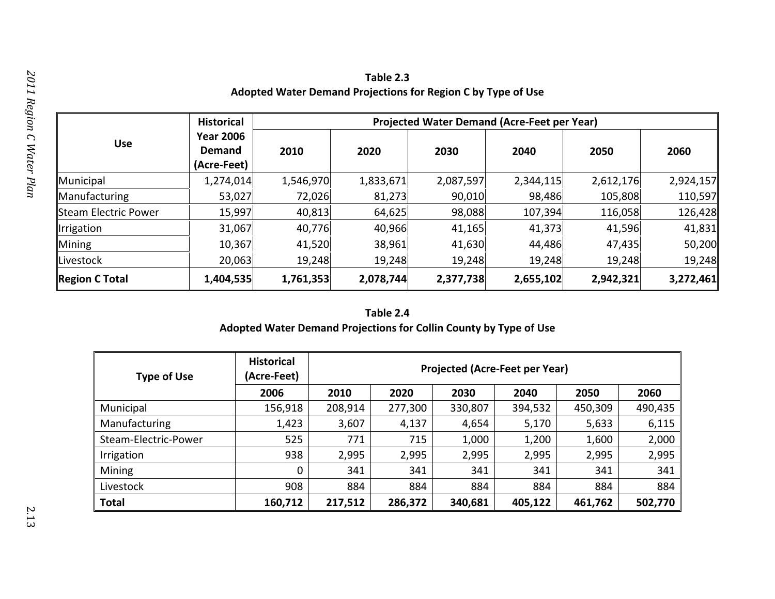| Table 2.3                                                    |
|--------------------------------------------------------------|
| Adopted Water Demand Projections for Region C by Type of Use |

|                             | <b>Historical</b>                                |           |           |           | Projected Water Demand (Acre-Feet per Year) |           |           |  |  |
|-----------------------------|--------------------------------------------------|-----------|-----------|-----------|---------------------------------------------|-----------|-----------|--|--|
| <b>Use</b>                  | <b>Year 2006</b><br><b>Demand</b><br>(Acre-Feet) | 2010      | 2020      | 2030      | 2040                                        | 2050      | 2060      |  |  |
| Municipal                   | 1,274,014                                        | 1,546,970 | 1,833,671 | 2,087,597 | 2,344,115                                   | 2,612,176 | 2,924,157 |  |  |
| Manufacturing               | 53,027                                           | 72,026    | 81,273    | 90,010    | 98,486                                      | 105,808   | 110,597   |  |  |
| <b>Steam Electric Power</b> | 15,997                                           | 40,813    | 64,625    | 98,088    | 107,394                                     | 116,058   | 126,428   |  |  |
| Irrigation                  | 31,067                                           | 40,776    | 40,966    | 41,165    | 41,373                                      | 41,596    | 41,831    |  |  |
| Mining                      | 10,367                                           | 41,520    | 38,961    | 41,630    | 44,486                                      | 47,435    | 50,200    |  |  |
| Livestock                   | 20,063                                           | 19,248    | 19,248    | 19,248    | 19,248                                      | 19,248    | 19,248    |  |  |
| <b>Region C Total</b>       | 1,404,535                                        | 1,761,353 | 2,078,744 | 2,377,738 | 2,655,102                                   | 2,942,321 | 3,272,461 |  |  |

# **Table 2.4 Adopted Water Demand Projections for Collin County by Type of Use**

| <b>Type of Use</b>   | <b>Historical</b><br>(Acre-Feet) | <b>Projected (Acre-Feet per Year)</b> |         |         |         |         |         |
|----------------------|----------------------------------|---------------------------------------|---------|---------|---------|---------|---------|
|                      | 2006                             | 2010                                  | 2020    | 2030    | 2040    | 2050    | 2060    |
| Municipal            | 156,918                          | 208,914                               | 277,300 | 330,807 | 394,532 | 450,309 | 490,435 |
| Manufacturing        | 1,423                            | 3,607                                 | 4,137   | 4,654   | 5,170   | 5,633   | 6,115   |
| Steam-Electric-Power | 525                              | 771                                   | 715     | 1,000   | 1,200   | 1,600   | 2,000   |
| Irrigation           | 938                              | 2,995                                 | 2,995   | 2,995   | 2,995   | 2,995   | 2,995   |
| Mining               | 0                                | 341                                   | 341     | 341     | 341     | 341     | 341     |
| Livestock            | 908                              | 884                                   | 884     | 884     | 884     | 884     | 884     |
| <b>Total</b>         | 160,712                          | 217,512                               | 286,372 | 340,681 | 405,122 | 461,762 | 502,770 |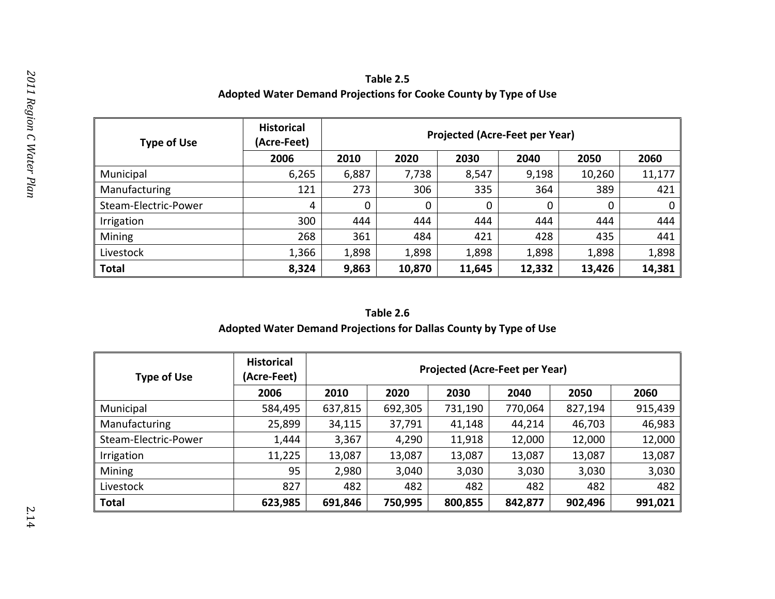| Table 2.5                                                        |
|------------------------------------------------------------------|
| Adopted Water Demand Projections for Cooke County by Type of Use |

| <b>Type of Use</b>   | <b>Historical</b><br>(Acre-Feet) |       | <b>Projected (Acre-Feet per Year)</b> |        |              |        |        |  |  |
|----------------------|----------------------------------|-------|---------------------------------------|--------|--------------|--------|--------|--|--|
|                      | 2006                             | 2010  | 2020                                  | 2030   | 2040         | 2050   | 2060   |  |  |
| Municipal            | 6,265                            | 6,887 | 7,738                                 | 8,547  | 9,198        | 10,260 | 11,177 |  |  |
| Manufacturing        | 121                              | 273   | 306                                   | 335    | 364          | 389    | 421    |  |  |
| Steam-Electric-Power | 4                                | 0     | $\mathbf 0$                           | 0      | $\mathbf{0}$ | 0      | 0      |  |  |
| Irrigation           | 300                              | 444   | 444                                   | 444    | 444          | 444    | 444    |  |  |
| Mining               | 268                              | 361   | 484                                   | 421    | 428          | 435    | 441    |  |  |
| Livestock            | 1,366                            | 1,898 | 1,898                                 | 1,898  | 1,898        | 1,898  | 1,898  |  |  |
| <b>Total</b>         | 8,324                            | 9,863 | 10,870                                | 11,645 | 12,332       | 13,426 | 14,381 |  |  |

# **Table 2.6 Adopted Water Demand Projections for Dallas County by Type of Use**

| <b>Type of Use</b>   | <b>Historical</b><br>(Acre-Feet) | <b>Projected (Acre-Feet per Year)</b> |         |         |         |         |         |
|----------------------|----------------------------------|---------------------------------------|---------|---------|---------|---------|---------|
|                      | 2006                             | 2010                                  | 2020    | 2030    | 2040    | 2050    | 2060    |
| Municipal            | 584,495                          | 637,815                               | 692,305 | 731,190 | 770,064 | 827,194 | 915,439 |
| Manufacturing        | 25,899                           | 34,115                                | 37,791  | 41,148  | 44,214  | 46,703  | 46,983  |
| Steam-Electric-Power | 1,444                            | 3,367                                 | 4,290   | 11,918  | 12,000  | 12,000  | 12,000  |
| Irrigation           | 11,225                           | 13,087                                | 13,087  | 13,087  | 13,087  | 13,087  | 13,087  |
| Mining               | 95                               | 2,980                                 | 3,040   | 3,030   | 3,030   | 3,030   | 3,030   |
| Livestock            | 827                              | 482                                   | 482     | 482     | 482     | 482     | 482     |
| <b>Total</b>         | 623,985                          | 691,846                               | 750,995 | 800,855 | 842,877 | 902,496 | 991,021 |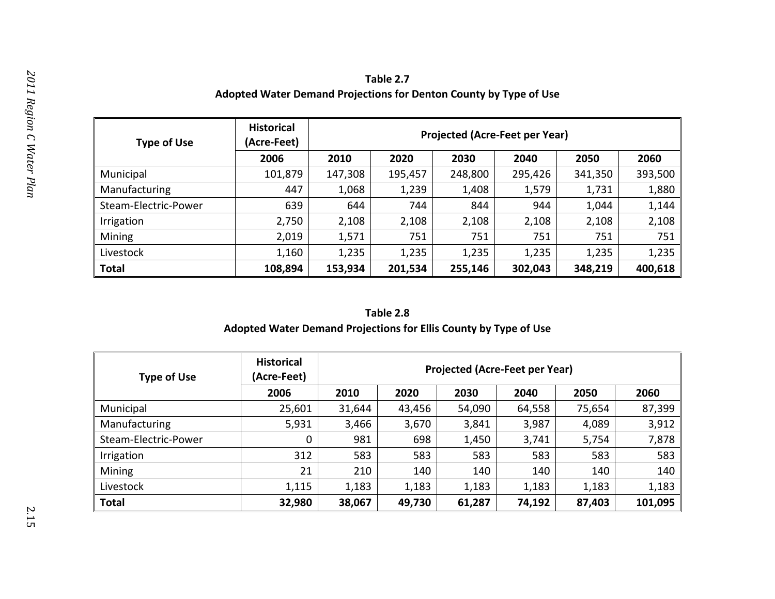| Table 2.7                                                         |
|-------------------------------------------------------------------|
| Adopted Water Demand Projections for Denton County by Type of Use |

| <b>Type of Use</b>   | <b>Historical</b><br>(Acre-Feet) | <b>Projected (Acre-Feet per Year)</b> |         |         |         |         |         |
|----------------------|----------------------------------|---------------------------------------|---------|---------|---------|---------|---------|
|                      | 2006                             | 2010                                  | 2020    | 2030    | 2040    | 2050    | 2060    |
| Municipal            | 101,879                          | 147,308                               | 195,457 | 248,800 | 295,426 | 341,350 | 393,500 |
| Manufacturing        | 447                              | 1,068                                 | 1,239   | 1,408   | 1,579   | 1,731   | 1,880   |
| Steam-Electric-Power | 639                              | 644                                   | 744     | 844     | 944     | 1,044   | 1,144   |
| Irrigation           | 2,750                            | 2,108                                 | 2,108   | 2,108   | 2,108   | 2,108   | 2,108   |
| Mining               | 2,019                            | 1,571                                 | 751     | 751     | 751     | 751     | 751     |
| Livestock            | 1,160                            | 1,235                                 | 1,235   | 1,235   | 1,235   | 1,235   | 1,235   |
| <b>Total</b>         | 108,894                          | 153,934                               | 201,534 | 255,146 | 302,043 | 348,219 | 400,618 |

# **Table 2.8 Adopted Water Demand Projections for Ellis County by Type of Use**

| <b>Type of Use</b>   | <b>Historical</b><br>(Acre-Feet) | <b>Projected (Acre-Feet per Year)</b> |        |        |        |        |         |
|----------------------|----------------------------------|---------------------------------------|--------|--------|--------|--------|---------|
|                      | 2006                             | 2010                                  | 2020   | 2030   | 2040   | 2050   | 2060    |
| Municipal            | 25,601                           | 31,644                                | 43,456 | 54,090 | 64,558 | 75,654 | 87,399  |
| Manufacturing        | 5,931                            | 3,466                                 | 3,670  | 3,841  | 3,987  | 4,089  | 3,912   |
| Steam-Electric-Power | 0                                | 981                                   | 698    | 1,450  | 3,741  | 5,754  | 7,878   |
| Irrigation           | 312                              | 583                                   | 583    | 583    | 583    | 583    | 583     |
| Mining               | 21                               | 210                                   | 140    | 140    | 140    | 140    | 140     |
| Livestock            | 1,115                            | 1,183                                 | 1,183  | 1,183  | 1,183  | 1,183  | 1,183   |
| <b>Total</b>         | 32,980                           | 38,067                                | 49,730 | 61,287 | 74,192 | 87,403 | 101,095 |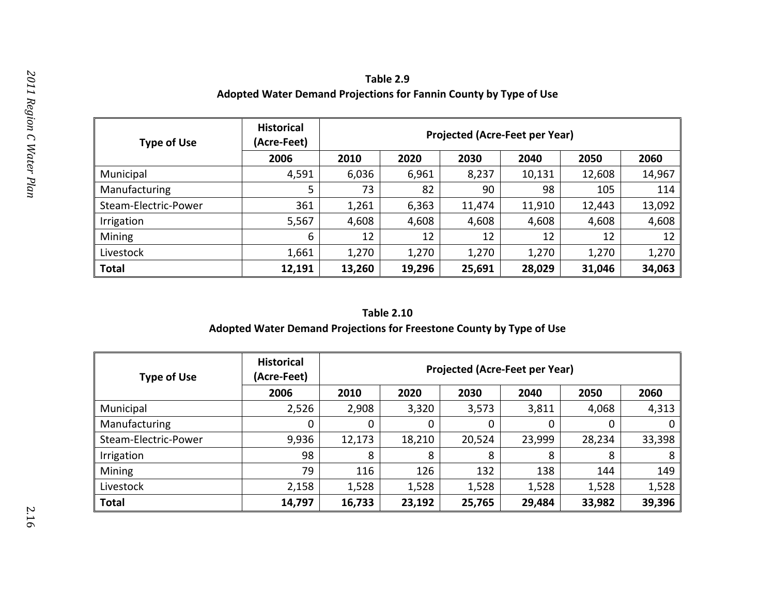| Table 2.9                                                         |
|-------------------------------------------------------------------|
| Adopted Water Demand Projections for Fannin County by Type of Use |

| <b>Type of Use</b>   | <b>Historical</b><br>(Acre-Feet) |        | <b>Projected (Acre-Feet per Year)</b> |        |        |        |        |  |  |
|----------------------|----------------------------------|--------|---------------------------------------|--------|--------|--------|--------|--|--|
|                      | 2006                             | 2010   | 2020                                  | 2030   | 2040   | 2050   | 2060   |  |  |
| Municipal            | 4,591                            | 6,036  | 6,961                                 | 8,237  | 10,131 | 12,608 | 14,967 |  |  |
| Manufacturing        | 5                                | 73     | 82                                    | 90     | 98     | 105    | 114    |  |  |
| Steam-Electric-Power | 361                              | 1,261  | 6,363                                 | 11,474 | 11,910 | 12,443 | 13,092 |  |  |
| Irrigation           | 5,567                            | 4,608  | 4,608                                 | 4,608  | 4,608  | 4,608  | 4,608  |  |  |
| Mining               | 6                                | 12     | 12                                    | 12     | 12     | 12     | 12     |  |  |
| Livestock            | 1,661                            | 1,270  | 1,270                                 | 1,270  | 1,270  | 1,270  | 1,270  |  |  |
| <b>Total</b>         | 12,191                           | 13,260 | 19,296                                | 25,691 | 28,029 | 31,046 | 34,063 |  |  |

# **Adopted Water Demand Projections for Freestone County by Type of Use**

| <b>Type of Use</b>   | <b>Historical</b><br>(Acre-Feet) |        | <b>Projected (Acre-Feet per Year)</b> |        |        |        |        |  |
|----------------------|----------------------------------|--------|---------------------------------------|--------|--------|--------|--------|--|
|                      | 2006                             | 2010   | 2020                                  | 2030   | 2040   | 2050   | 2060   |  |
| Municipal            | 2,526                            | 2,908  | 3,320                                 | 3,573  | 3,811  | 4,068  | 4,313  |  |
| Manufacturing        | 0                                |        | 0                                     | 0      | 0      |        | 0      |  |
| Steam-Electric-Power | 9,936                            | 12,173 | 18,210                                | 20,524 | 23,999 | 28,234 | 33,398 |  |
| Irrigation           | 98                               | 8      | 8                                     | 8      | 8      | 8      | 8      |  |
| Mining               | 79                               | 116    | 126                                   | 132    | 138    | 144    | 149    |  |
| Livestock            | 2,158                            | 1,528  | 1,528                                 | 1,528  | 1,528  | 1,528  | 1,528  |  |
| <b>Total</b>         | 14,797                           | 16,733 | 23,192                                | 25,765 | 29,484 | 33,982 | 39,396 |  |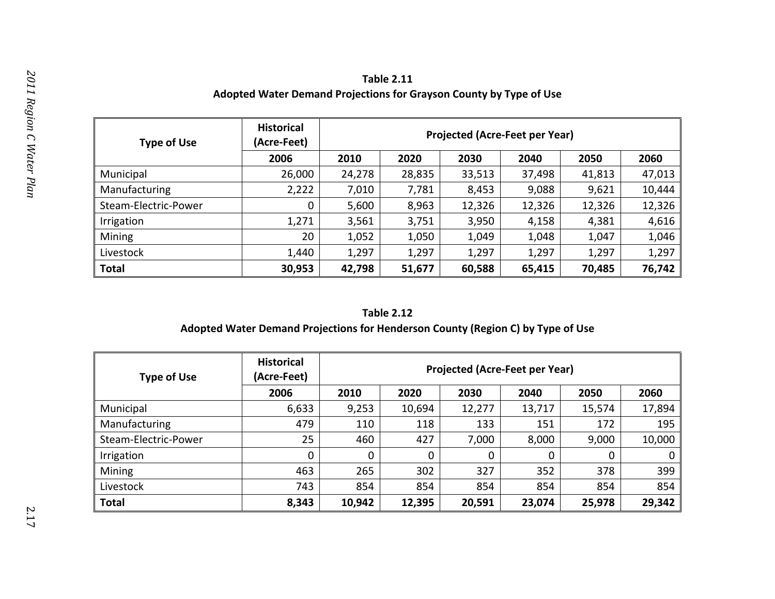| <b>Table 2.11</b>                                                  |
|--------------------------------------------------------------------|
| Adopted Water Demand Projections for Grayson County by Type of Use |

| <b>Type of Use</b>   | <b>Historical</b><br>(Acre-Feet) |        | <b>Projected (Acre-Feet per Year)</b> |        |        |        |        |  |
|----------------------|----------------------------------|--------|---------------------------------------|--------|--------|--------|--------|--|
|                      | 2006                             | 2010   | 2020                                  | 2030   | 2040   | 2050   | 2060   |  |
| Municipal            | 26,000                           | 24,278 | 28,835                                | 33,513 | 37,498 | 41,813 | 47,013 |  |
| Manufacturing        | 2,222                            | 7,010  | 7,781                                 | 8,453  | 9,088  | 9,621  | 10,444 |  |
| Steam-Electric-Power | 0                                | 5,600  | 8,963                                 | 12,326 | 12,326 | 12,326 | 12,326 |  |
| Irrigation           | 1,271                            | 3,561  | 3,751                                 | 3,950  | 4,158  | 4,381  | 4,616  |  |
| Mining               | 20                               | 1,052  | 1,050                                 | 1,049  | 1,048  | 1,047  | 1,046  |  |
| Livestock            | 1,440                            | 1,297  | 1,297                                 | 1,297  | 1,297  | 1,297  | 1,297  |  |
| <b>Total</b>         | 30,953                           | 42,798 | 51,677                                | 60,588 | 65,415 | 70,485 | 76,742 |  |

# **Adopted Water Demand Projections for Henderson County (Region C) by Type of Use**

| <b>Type of Use</b>   | <b>Historical</b><br>(Acre-Feet) |        | <b>Projected (Acre-Feet per Year)</b> |        |        |        |        |
|----------------------|----------------------------------|--------|---------------------------------------|--------|--------|--------|--------|
|                      | 2006                             | 2010   | 2020                                  | 2030   | 2040   | 2050   | 2060   |
| Municipal            | 6,633                            | 9,253  | 10,694                                | 12,277 | 13,717 | 15,574 | 17,894 |
| Manufacturing        | 479                              | 110    | 118                                   | 133    | 151    | 172    | 195    |
| Steam-Electric-Power | 25                               | 460    | 427                                   | 7,000  | 8,000  | 9,000  | 10,000 |
| Irrigation           | $\mathbf 0$                      | 0      | 0                                     | 0      | 0      | 0      | 0      |
| Mining               | 463                              | 265    | 302                                   | 327    | 352    | 378    | 399    |
| Livestock            | 743                              | 854    | 854                                   | 854    | 854    | 854    | 854    |
| <b>Total</b>         | 8,343                            | 10,942 | 12,395                                | 20,591 | 23,074 | 25,978 | 29,342 |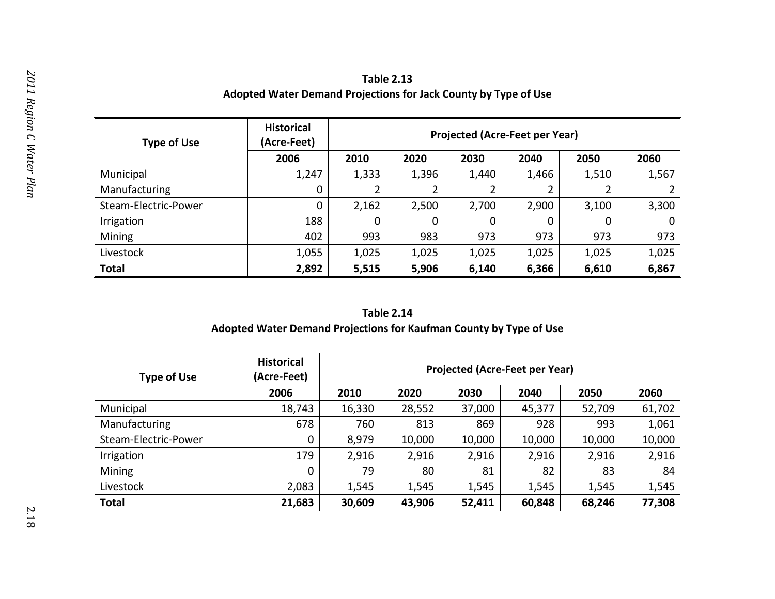**Table 2.13 Adopted Water Demand Projections for Jack County by Type of Use**

| <b>Type of Use</b>   | <b>Historical</b><br>(Acre-Feet) |       | <b>Projected (Acre-Feet per Year)</b> |       |       |       |       |  |
|----------------------|----------------------------------|-------|---------------------------------------|-------|-------|-------|-------|--|
|                      | 2006                             | 2010  | 2020                                  | 2030  | 2040  | 2050  | 2060  |  |
| Municipal            | 1,247                            | 1,333 | 1,396                                 | 1,440 | 1,466 | 1,510 | 1,567 |  |
| Manufacturing        | 0                                |       |                                       |       | າ     |       |       |  |
| Steam-Electric-Power | 0                                | 2,162 | 2,500                                 | 2,700 | 2,900 | 3,100 | 3,300 |  |
| Irrigation           | 188                              | 0     | 0                                     | 0     | 0     |       | 0     |  |
| Mining               | 402                              | 993   | 983                                   | 973   | 973   | 973   | 973   |  |
| Livestock            | 1,055                            | 1,025 | 1,025                                 | 1,025 | 1,025 | 1,025 | 1,025 |  |
| <b>Total</b>         | 2,892                            | 5,515 | 5,906                                 | 6,140 | 6,366 | 6,610 | 6,867 |  |

## **Adopted Water Demand Projections for Kaufman County by Type of Use**

| <b>Type of Use</b>   | <b>Historical</b><br>(Acre-Feet) |        | <b>Projected (Acre-Feet per Year)</b> |        |        |        |        |
|----------------------|----------------------------------|--------|---------------------------------------|--------|--------|--------|--------|
|                      | 2006                             | 2010   | 2020                                  | 2030   | 2040   | 2050   | 2060   |
| Municipal            | 18,743                           | 16,330 | 28,552                                | 37,000 | 45,377 | 52,709 | 61,702 |
| Manufacturing        | 678                              | 760    | 813                                   | 869    | 928    | 993    | 1,061  |
| Steam-Electric-Power | 0                                | 8,979  | 10,000                                | 10,000 | 10,000 | 10,000 | 10,000 |
| Irrigation           | 179                              | 2,916  | 2,916                                 | 2,916  | 2,916  | 2,916  | 2,916  |
| Mining               | 0                                | 79     | 80                                    | 81     | 82     | 83     | 84     |
| Livestock            | 2,083                            | 1,545  | 1,545                                 | 1,545  | 1,545  | 1,545  | 1,545  |
| Total                | 21,683                           | 30,609 | 43,906                                | 52,411 | 60,848 | 68,246 | 77,308 |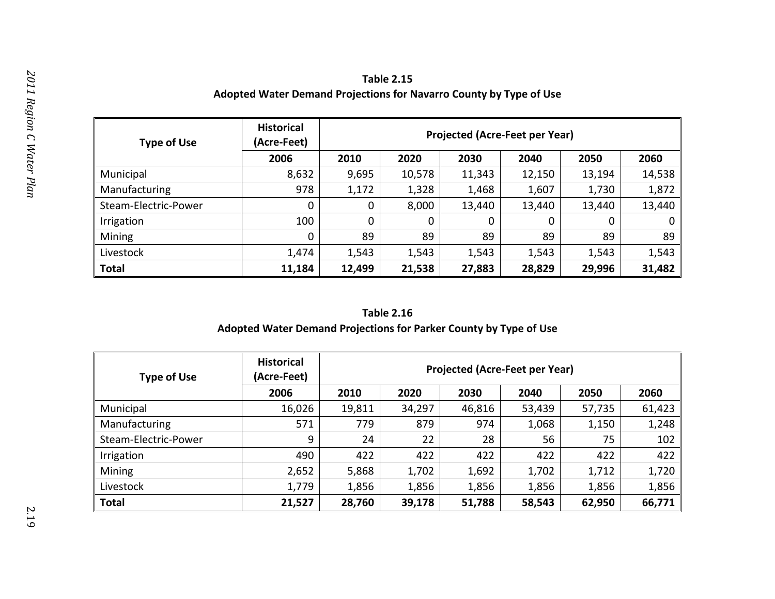| <b>Table 2.15</b>                                                  |
|--------------------------------------------------------------------|
| Adopted Water Demand Projections for Navarro County by Type of Use |

| <b>Type of Use</b>   | <b>Historical</b><br>(Acre-Feet) |        | <b>Projected (Acre-Feet per Year)</b> |        |             |        |        |  |
|----------------------|----------------------------------|--------|---------------------------------------|--------|-------------|--------|--------|--|
|                      | 2006                             | 2010   | 2020                                  | 2030   | 2040        | 2050   | 2060   |  |
| Municipal            | 8,632                            | 9,695  | 10,578                                | 11,343 | 12,150      | 13,194 | 14,538 |  |
| Manufacturing        | 978                              | 1,172  | 1,328                                 | 1,468  | 1,607       | 1,730  | 1,872  |  |
| Steam-Electric-Power | 0                                | 0      | 8,000                                 | 13,440 | 13,440      | 13,440 | 13,440 |  |
| Irrigation           | 100                              |        | 0                                     | 0      | $\mathbf 0$ | 0      | 0      |  |
| Mining               | 0                                | 89     | 89                                    | 89     | 89          | 89     | 89     |  |
| Livestock            | 1,474                            | 1,543  | 1,543                                 | 1,543  | 1,543       | 1,543  | 1,543  |  |
| <b>Total</b>         | 11,184                           | 12,499 | 21,538                                | 27,883 | 28,829      | 29,996 | 31,482 |  |

# **Table 2.16 Adopted Water Demand Projections for Parker County by Type of Use**

| <b>Type of Use</b>   | <b>Historical</b><br>(Acre-Feet) |        | <b>Projected (Acre-Feet per Year)</b> |        |        |        |        |
|----------------------|----------------------------------|--------|---------------------------------------|--------|--------|--------|--------|
|                      | 2006                             | 2010   | 2020                                  | 2030   | 2040   | 2050   | 2060   |
| Municipal            | 16,026                           | 19,811 | 34,297                                | 46,816 | 53,439 | 57,735 | 61,423 |
| Manufacturing        | 571                              | 779    | 879                                   | 974    | 1,068  | 1,150  | 1,248  |
| Steam-Electric-Power | 9                                | 24     | 22                                    | 28     | 56     | 75     | 102    |
| Irrigation           | 490                              | 422    | 422                                   | 422    | 422    | 422    | 422    |
| Mining               | 2,652                            | 5,868  | 1,702                                 | 1,692  | 1,702  | 1,712  | 1,720  |
| Livestock            | 1,779                            | 1,856  | 1,856                                 | 1,856  | 1,856  | 1,856  | 1,856  |
| <b>Total</b>         | 21,527                           | 28,760 | 39,178                                | 51,788 | 58,543 | 62,950 | 66,771 |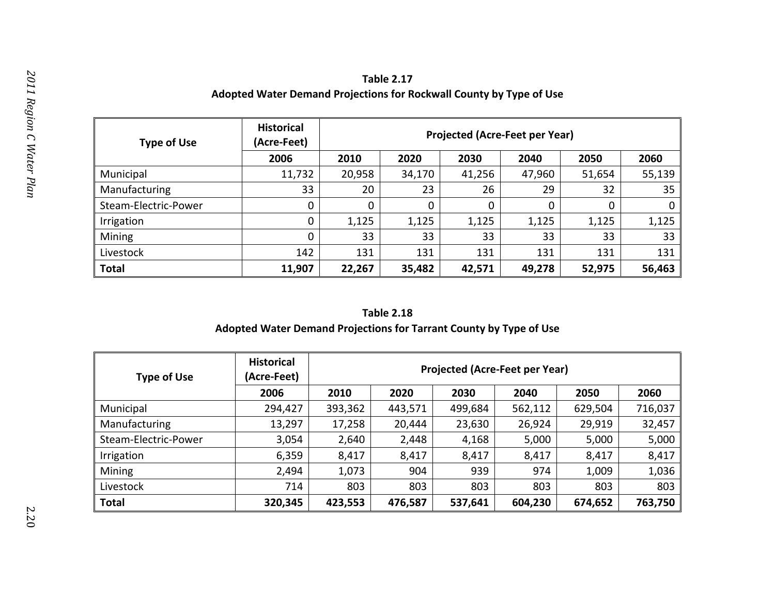| <b>Table 2.17</b>                                                   |
|---------------------------------------------------------------------|
| Adopted Water Demand Projections for Rockwall County by Type of Use |

| <b>Type of Use</b>   | <b>Historical</b><br>(Acre-Feet) |          | <b>Projected (Acre-Feet per Year)</b> |             |        |        |             |  |  |
|----------------------|----------------------------------|----------|---------------------------------------|-------------|--------|--------|-------------|--|--|
|                      | 2006                             | 2010     | 2020                                  | 2030        | 2040   | 2050   | 2060        |  |  |
| Municipal            | 11,732                           | 20,958   | 34,170                                | 41,256      | 47,960 | 51,654 | 55,139      |  |  |
| Manufacturing        | 33                               | 20       | 23                                    | 26          | 29     | 32     | 35          |  |  |
| Steam-Electric-Power | 0                                | $\Omega$ | 0                                     | $\mathbf 0$ | 0      | 0      | $\mathbf 0$ |  |  |
| Irrigation           | 0                                | 1,125    | 1,125                                 | 1,125       | 1,125  | 1,125  | 1,125       |  |  |
| Mining               | 0                                | 33       | 33                                    | 33          | 33     | 33     | 33          |  |  |
| Livestock            | 142                              | 131      | 131                                   | 131         | 131    | 131    | 131         |  |  |
| <b>Total</b>         | 11,907                           | 22,267   | 35,482                                | 42,571      | 49,278 | 52,975 | 56,463      |  |  |

# **Adopted Water Demand Projections for Tarrant County by Type of Use**

| <b>Type of Use</b>   | <b>Historical</b><br>(Acre-Feet) | <b>Projected (Acre-Feet per Year)</b>                          |         |         |                |         |         |  |  |  |  |
|----------------------|----------------------------------|----------------------------------------------------------------|---------|---------|----------------|---------|---------|--|--|--|--|
|                      | 2006                             | 2010                                                           | 2020    | 2030    | 2040           | 2050    |         |  |  |  |  |
| Municipal            | 294,427                          | 393,362                                                        | 443,571 | 499,684 | 562,112        | 629,504 | 716,037 |  |  |  |  |
| Manufacturing        | 13,297                           | 17,258                                                         | 20,444  | 23,630  | 26,924         | 29,919  |         |  |  |  |  |
| Steam-Electric-Power | 3,054                            | 2,640                                                          | 2,448   | 4,168   | 5,000<br>5,000 |         |         |  |  |  |  |
| Irrigation           | 6,359                            | 8,417                                                          | 8,417   | 8,417   | 8,417          | 8,417   |         |  |  |  |  |
| Mining               | 2,494                            | 1,073                                                          | 904     | 939     | 974<br>1,009   |         | 1,036   |  |  |  |  |
| Livestock            | 714                              | 803<br>803<br>803<br>803<br>803<br>803                         |         |         |                |         |         |  |  |  |  |
| <b>Total</b>         | 320,345                          | 763,750<br>423,553<br>537,641<br>674,652<br>476,587<br>604,230 |         |         |                |         |         |  |  |  |  |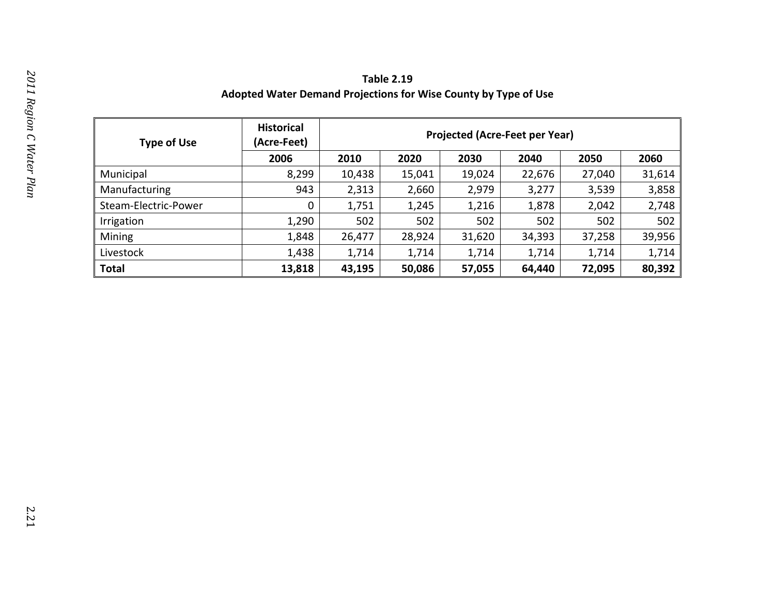**Table 2.19 Adopted Water Demand Projections for Wise County by Type of Use**

| <b>Type of Use</b>   | <b>Historical</b><br>(Acre-Feet) | <b>Projected (Acre-Feet per Year)</b>                    |        |        |                |        |        |  |  |  |
|----------------------|----------------------------------|----------------------------------------------------------|--------|--------|----------------|--------|--------|--|--|--|
|                      | 2006                             | 2010                                                     | 2020   | 2030   | 2040           | 2050   | 2060   |  |  |  |
| Municipal            | 8,299                            | 10,438                                                   | 15,041 | 19,024 | 22,676         | 27,040 | 31,614 |  |  |  |
| Manufacturing        | 943                              | 2,313                                                    | 2,660  | 2,979  | 3,277          | 3,539  |        |  |  |  |
| Steam-Electric-Power | 0                                | 1,751                                                    | 1,245  | 1,216  | 1,878<br>2,042 |        | 2,748  |  |  |  |
| Irrigation           | 1,290                            | 502                                                      | 502    | 502    | 502            | 502    |        |  |  |  |
| Mining               | 1,848                            | 26,477                                                   | 28,924 | 31,620 | 34,393         | 37,258 |        |  |  |  |
| Livestock            | 1,438                            | 1,714                                                    | 1,714  | 1,714  | 1,714          | 1,714  | 1,714  |  |  |  |
| Total                | 13,818                           | 80,392<br>43,195<br>57,055<br>72,095<br>50,086<br>64,440 |        |        |                |        |        |  |  |  |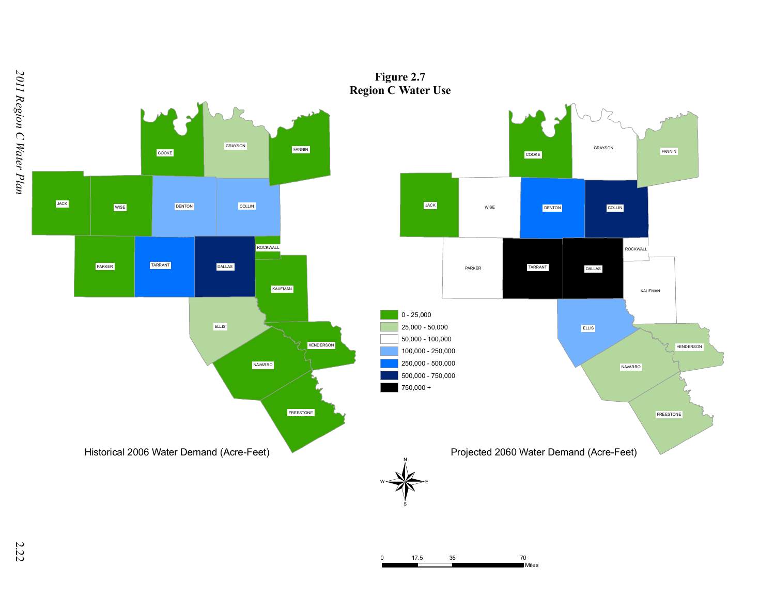

**Figure 2.7**

0 17.5 35 70

Miles

2.2 2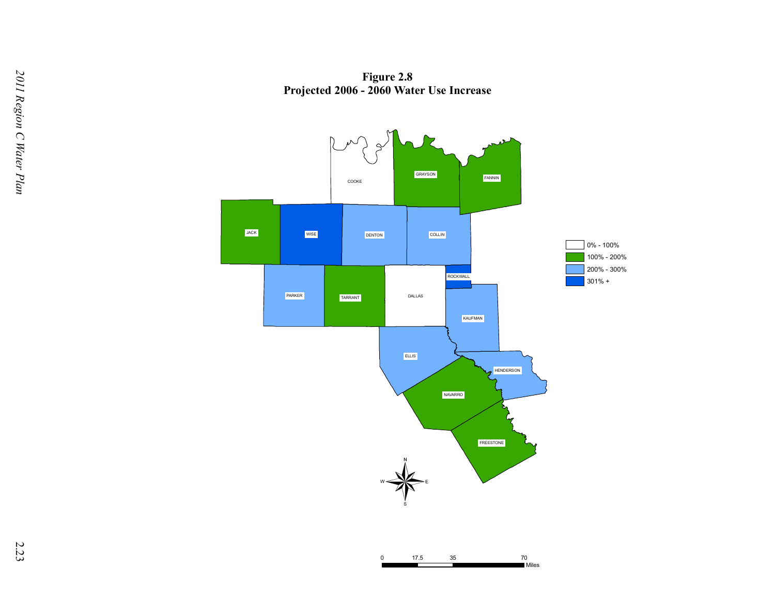**Figure 2.8 Projected 2006 - 2060 Water Use Increase**



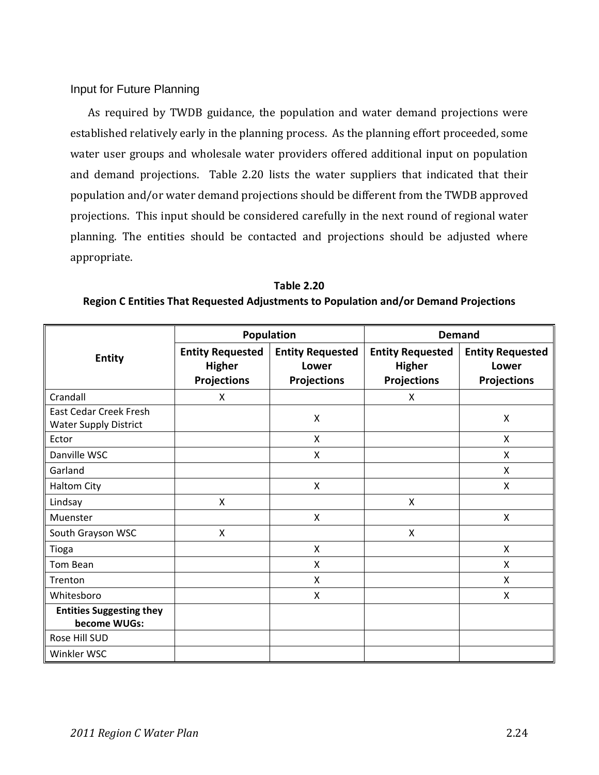## Input for Future Planning

As required by TWDB guidance, the population and water demand projections were established relatively early in the planning process. As the planning effort proceeded, some water user groups and wholesale water providers offered additional input on population and demand projections. Table 2.20 lists the water suppliers that indicated that their population and/or water demand projections should be different from the TWDB approved projections. This input should be considered carefully in the next round of regional water planning. The entities should be contacted and projections should be adjusted where appropriate.

**Table 2.20 Region C Entities That Requested Adjustments to Population and/or Demand Projections**

|                                                               |                                                                | Population                                             | <b>Demand</b>                                                  |                                                        |  |  |
|---------------------------------------------------------------|----------------------------------------------------------------|--------------------------------------------------------|----------------------------------------------------------------|--------------------------------------------------------|--|--|
| <b>Entity</b>                                                 | <b>Entity Requested</b><br><b>Higher</b><br><b>Projections</b> | <b>Entity Requested</b><br>Lower<br><b>Projections</b> | <b>Entity Requested</b><br><b>Higher</b><br><b>Projections</b> | <b>Entity Requested</b><br>Lower<br><b>Projections</b> |  |  |
| Crandall                                                      | X                                                              |                                                        | X                                                              |                                                        |  |  |
| <b>East Cedar Creek Fresh</b><br><b>Water Supply District</b> |                                                                | Χ                                                      |                                                                | $\sf X$                                                |  |  |
| Ector                                                         |                                                                | X                                                      |                                                                | X                                                      |  |  |
| Danville WSC                                                  |                                                                | X                                                      |                                                                | X                                                      |  |  |
| Garland                                                       |                                                                |                                                        |                                                                | X                                                      |  |  |
| <b>Haltom City</b>                                            |                                                                | $\pmb{\mathsf{X}}$                                     |                                                                | X                                                      |  |  |
| Lindsay                                                       | X                                                              |                                                        | X                                                              |                                                        |  |  |
| Muenster                                                      |                                                                | X                                                      |                                                                | X                                                      |  |  |
| South Grayson WSC                                             | X                                                              |                                                        | X                                                              |                                                        |  |  |
| Tioga                                                         |                                                                | Χ                                                      |                                                                | X                                                      |  |  |
| Tom Bean                                                      |                                                                | X                                                      |                                                                | X                                                      |  |  |
| Trenton                                                       |                                                                | X                                                      |                                                                | X                                                      |  |  |
| Whitesboro                                                    |                                                                | Χ                                                      |                                                                | X                                                      |  |  |
| <b>Entities Suggesting they</b><br>become WUGs:               |                                                                |                                                        |                                                                |                                                        |  |  |
| Rose Hill SUD                                                 |                                                                |                                                        |                                                                |                                                        |  |  |
| Winkler WSC                                                   |                                                                |                                                        |                                                                |                                                        |  |  |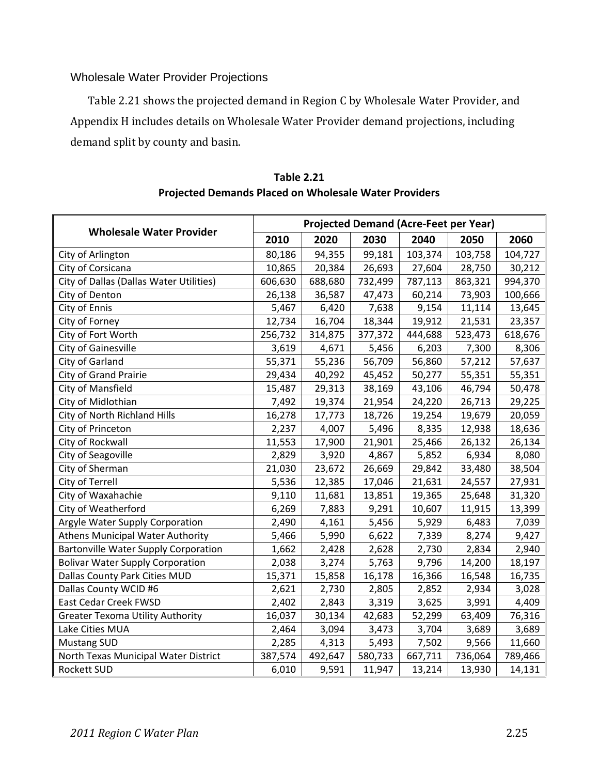## Wholesale Water Provider Projections

Table 2.21 shows the projected demand in Region C by Wholesale Water Provider, and Appendix H includes details on Wholesale Water Provider demand projections, including demand split by county and basin.

|                                             | <b>Projected Demand (Acre-Feet per Year)</b> |         |         |         |         |         |  |  |
|---------------------------------------------|----------------------------------------------|---------|---------|---------|---------|---------|--|--|
| <b>Wholesale Water Provider</b>             | 2010                                         | 2020    | 2030    | 2040    | 2050    | 2060    |  |  |
| City of Arlington                           | 80,186                                       | 94,355  | 99,181  | 103,374 | 103,758 | 104,727 |  |  |
| City of Corsicana                           | 10,865                                       | 20,384  | 26,693  | 27,604  | 28,750  | 30,212  |  |  |
| City of Dallas (Dallas Water Utilities)     | 606,630                                      | 688,680 | 732,499 | 787,113 | 863,321 | 994,370 |  |  |
| City of Denton                              | 26,138                                       | 36,587  | 47,473  | 60,214  | 73,903  | 100,666 |  |  |
| City of Ennis                               | 5,467                                        | 6,420   | 7,638   | 9,154   | 11,114  | 13,645  |  |  |
| City of Forney                              | 12,734                                       | 16,704  | 18,344  | 19,912  | 21,531  | 23,357  |  |  |
| City of Fort Worth                          | 256,732                                      | 314,875 | 377,372 | 444,688 | 523,473 | 618,676 |  |  |
| City of Gainesville                         | 3,619                                        | 4,671   | 5,456   | 6,203   | 7,300   | 8,306   |  |  |
| City of Garland                             | 55,371                                       | 55,236  | 56,709  | 56,860  | 57,212  | 57,637  |  |  |
| <b>City of Grand Prairie</b>                | 29,434                                       | 40,292  | 45,452  | 50,277  | 55,351  | 55,351  |  |  |
| City of Mansfield                           | 15,487                                       | 29,313  | 38,169  | 43,106  | 46,794  | 50,478  |  |  |
| City of Midlothian                          | 7,492                                        | 19,374  | 21,954  | 24,220  | 26,713  | 29,225  |  |  |
| City of North Richland Hills                | 16,278                                       | 17,773  | 18,726  | 19,254  | 19,679  | 20,059  |  |  |
| City of Princeton                           | 2,237                                        | 4,007   | 5,496   | 8,335   | 12,938  | 18,636  |  |  |
| City of Rockwall                            | 11,553                                       | 17,900  | 21,901  | 25,466  | 26,132  | 26,134  |  |  |
| City of Seagoville                          | 2,829                                        | 3,920   | 4,867   | 5,852   | 6,934   | 8,080   |  |  |
| City of Sherman                             | 21,030                                       | 23,672  | 26,669  | 29,842  | 33,480  | 38,504  |  |  |
| City of Terrell                             | 5,536                                        | 12,385  | 17,046  | 21,631  | 24,557  | 27,931  |  |  |
| City of Waxahachie                          | 9,110                                        | 11,681  | 13,851  | 19,365  | 25,648  | 31,320  |  |  |
| City of Weatherford                         | 6,269                                        | 7,883   | 9,291   | 10,607  | 11,915  | 13,399  |  |  |
| Argyle Water Supply Corporation             | 2,490                                        | 4,161   | 5,456   | 5,929   | 6,483   | 7,039   |  |  |
| <b>Athens Municipal Water Authority</b>     | 5,466                                        | 5,990   | 6,622   | 7,339   | 8,274   | 9,427   |  |  |
| <b>Bartonville Water Supply Corporation</b> | 1,662                                        | 2,428   | 2,628   | 2,730   | 2,834   | 2,940   |  |  |
| <b>Bolivar Water Supply Corporation</b>     | 2,038                                        | 3,274   | 5,763   | 9,796   | 14,200  | 18,197  |  |  |
| Dallas County Park Cities MUD               | 15,371                                       | 15,858  | 16,178  | 16,366  | 16,548  | 16,735  |  |  |
| Dallas County WCID #6                       | 2,621                                        | 2,730   | 2,805   | 2,852   | 2,934   | 3,028   |  |  |
| <b>East Cedar Creek FWSD</b>                | 2,402                                        | 2,843   | 3,319   | 3,625   | 3,991   | 4,409   |  |  |
| <b>Greater Texoma Utility Authority</b>     | 16,037                                       | 30,134  | 42,683  | 52,299  | 63,409  | 76,316  |  |  |
| Lake Cities MUA                             | 2,464                                        | 3,094   | 3,473   | 3,704   | 3,689   | 3,689   |  |  |
| <b>Mustang SUD</b>                          | 2,285                                        | 4,313   | 5,493   | 7,502   | 9,566   | 11,660  |  |  |
| North Texas Municipal Water District        | 387,574                                      | 492,647 | 580,733 | 667,711 | 736,064 | 789,466 |  |  |
| Rockett SUD                                 | 6,010                                        | 9,591   | 11,947  | 13,214  | 13,930  | 14,131  |  |  |

**Table 2.21 Projected Demands Placed on Wholesale Water Providers**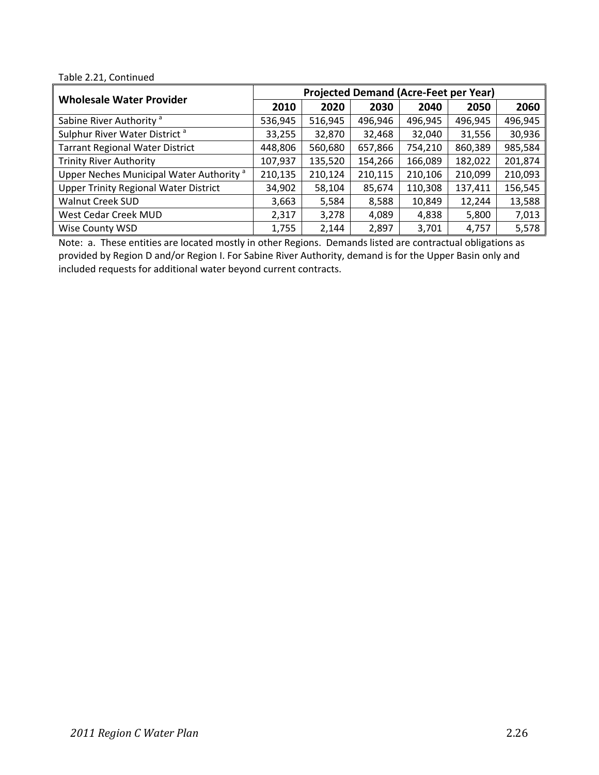#### Table 2.21, Continued

| <b>Wholesale Water Provider</b>                     | <b>Projected Demand (Acre-Feet per Year)</b> |         |         |         |         |         |  |  |
|-----------------------------------------------------|----------------------------------------------|---------|---------|---------|---------|---------|--|--|
|                                                     | 2010                                         | 2020    | 2030    | 2040    | 2050    | 2060    |  |  |
| Sabine River Authority <sup>a</sup>                 | 536,945                                      | 516,945 | 496,946 | 496,945 | 496,945 | 496,945 |  |  |
| Sulphur River Water District <sup>a</sup>           | 33,255                                       | 32,870  | 32,468  | 32,040  | 31,556  | 30,936  |  |  |
| <b>Tarrant Regional Water District</b>              | 448,806                                      | 560,680 | 657,866 | 754,210 | 860,389 | 985,584 |  |  |
| <b>Trinity River Authority</b>                      | 107,937                                      | 135,520 | 154,266 | 166,089 | 182,022 | 201,874 |  |  |
| Upper Neches Municipal Water Authority <sup>a</sup> | 210,135                                      | 210,124 | 210,115 | 210,106 | 210,099 | 210,093 |  |  |
| <b>Upper Trinity Regional Water District</b>        | 34,902                                       | 58,104  | 85,674  | 110,308 | 137,411 | 156,545 |  |  |
| <b>Walnut Creek SUD</b>                             | 3,663                                        | 5,584   | 8,588   | 10,849  | 12,244  | 13,588  |  |  |
| West Cedar Creek MUD                                | 2,317                                        | 3,278   | 4,089   | 4,838   | 5,800   | 7,013   |  |  |
| Wise County WSD                                     | 1,755                                        | 2,144   | 2,897   | 3,701   | 4,757   | 5,578   |  |  |

Note: a. These entities are located mostly in other Regions. Demands listed are contractual obligations as provided by Region D and/or Region I. For Sabine River Authority, demand is for the Upper Basin only and included requests for additional water beyond current contracts.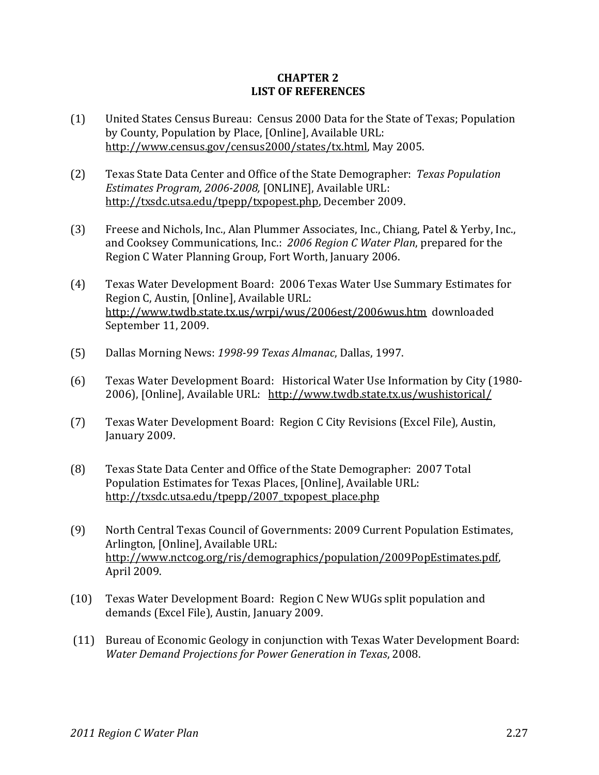### **CHAPTER 2 LIST OF REFERENCES**

- (1) United States Census Bureau: Census 2000 Data for the State of Texas; Population by County, Population by Place, [Online], Available URL: http://www.census.gov/census2000/states/tx.html, May 2005.
- (2) Texas State Data Center and Office of the State Demographer: *Texas Population Estimates Program, 20062008,* [ONLINE], Available URL: http://txsdc.utsa.edu/tpepp/txpopest.php, December 2009.
- (3) Freese and Nichols, Inc., Alan Plummer Associates, Inc., Chiang, Patel & Yerby, Inc., and Cooksey Communications, Inc.: *2006 Region C Water Plan*, prepared for the Region C Water Planning Group, Fort Worth, January 2006.
- (4) Texas Water Development Board: 2006 Texas Water Use Summary Estimates for Region C, Austin, [Online], Available URL: http://www.twdb.state.tx.us/wrpi/wus/2006est/2006wus.htm downloaded September 11, 2009.
- (5) Dallas Morning News: *199899 Texas Almanac*, Dallas, 1997.
- (6) Texas Water Development Board: Historical Water Use Information by City (1980‐ 2006), [Online], Available URL: http://www.twdb.state.tx.us/wushistorical/
- (7) Texas Water Development Board: Region C City Revisions (Excel File), Austin, January 2009.
- (8) Texas State Data Center and Office of the State Demographer: 2007 Total Population Estimates for Texas Places, [Online], Available URL: http://txsdc.utsa.edu/tpepp/2007\_txpopest\_place.php
- (9) North Central Texas Council of Governments: 2009 Current Population Estimates, Arlington, [Online], Available URL: http://www.nctcog.org/ris/demographics/population/2009PopEstimates.pdf, April 2009.
- (10) Texas Water Development Board: Region C New WUGs split population and demands (Excel File), Austin, January 2009.
- (11) Bureau of Economic Geology in conjunction with Texas Water Development Board: *Water Demand Projections for Power Generation in Texas*, 2008.